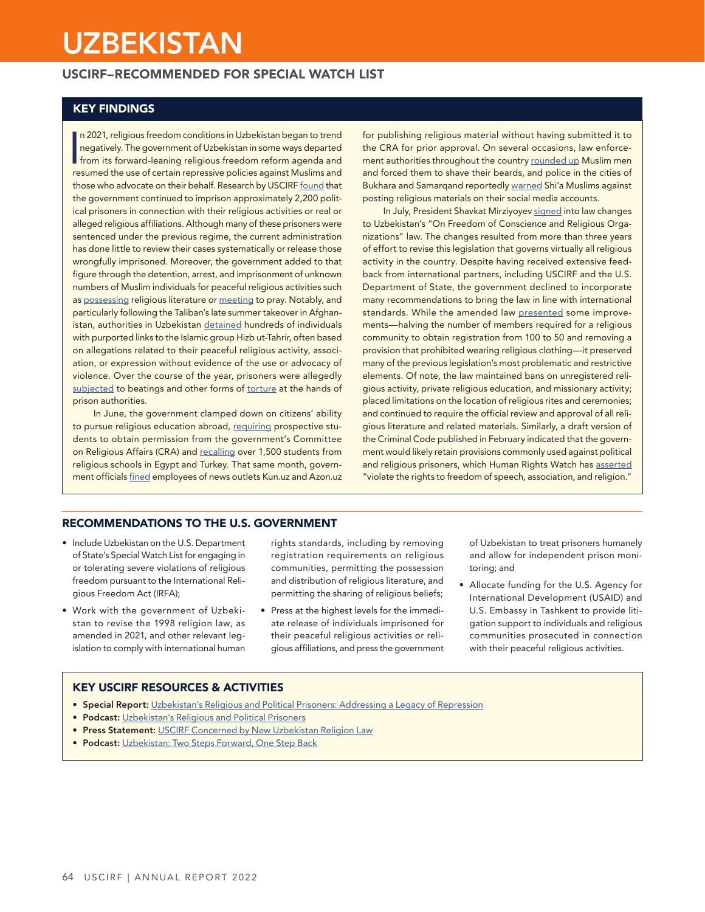# **UZBEKISTAN**

## USCIRF–RECOMMENDED FOR SPECIAL WATCH LIST

## KEY FINDINGS

n 2021, religious freedom conditions in Uzbekistan began to trend<br>negatively. The government of Uzbekistan in some ways departed<br>from its forward-leaning religious freedom reform agenda and<br>resumed the use of certain repre n 2021, religious freedom conditions in Uzbekistan began to trend negatively. The government of Uzbekistan in some ways departed from its forward-leaning religious freedom reform agenda and those who advocate on their behalf. Research by USCIRF [found](https://www.uscirf.gov/sites/default/files/2021-10/2021%20Uzbekistan%20Report_0.pdf) that the government continued to imprison approximately 2,200 political prisoners in connection with their religious activities or real or alleged religious affiliations. Although many of these prisoners were sentenced under the previous regime, the current administration has done little to review their cases systematically or release those wrongfully imprisoned. Moreover, the government added to that figure through the detention, arrest, and imprisonment of unknown numbers of Muslim individuals for peaceful religious activities such as [possessing](https://www.forum18.org/archive.php?article_id=2688) religious literature or [meeting](https://www.forum18.org/archive.php?article_id=2692) to pray. Notably, and particularly following the Taliban's late summer takeover in Afghanistan, authorities in Uzbekistan [detained](https://www.rferl.org/a/afghanistan-uzbekistan-taliban-detentions/31568189.html) hundreds of individuals with purported links to the Islamic group Hizb ut-Tahrir, often based on allegations related to their peaceful religious activity, association, or expression without evidence of the use or advocacy of violence. Over the course of the year, prisoners were allegedly [subjected](https://www.rferl.org/a/uzbekistan-diplomat-yusupov-prison-mistreatment/31553686.html) to beatings and other forms of [torture](https://www.forum18.org/archive.php?article_id=2688) at the hands of prison authorities.

In June, the government clamped down on citizens' ability to pursue religious education abroad, [requiring](https://rus.ozodlik.org/a/31300474.html) prospective students to obtain permission from the government's Committee on Religious Affairs (CRA) and [recalling](https://www.rferl.org/a/uzbekistan-religious-students-crackdown/31317289.html) over 1,500 students from religious schools in Egypt and Turkey. That same month, government officials [fined](https://cpj.org/2021/06/uzbek-news-websites-kun-uz-and-azon-uz-fined-for-allegedly-publishing-religious-material-without-approval/) employees of news outlets Kun.uz and Azon.uz

for publishing religious material without having submitted it to the CRA for prior approval. On several occasions, law enforcement authorities throughout the country [rounded up](https://www.rferl.org/a/uzbekistan-islam-beards-shaving-/31578046.html) Muslim men and forced them to shave their beards, and police in the cities of Bukhara and Samarqand reportedly [warned](https://www.forum18.org/archive.php?article_id=2673) Shi'a Muslims against posting religious materials on their social media accounts.

In July, President Shavkat Mirziyoyev [signed](https://kun.uz/en/news/2021/07/06/president-mirziyoyev-signs-law-on-freedom-of-conscience-and-religious-organizations) into law changes to Uzbekistan's "On Freedom of Conscience and Religious Organizations" law. The changes resulted from more than three years of effort to revise this legislation that governs virtually all religious activity in the country. Despite having received extensive feedback from international partners, including USCIRF and the U.S. Department of State, the government declined to incorporate many recommendations to bring the law in line with international standards. While the amended law [presented](https://eurasianet.org/uzbekistan-disappoints-with-secretively-adopted-religion-law) some improvements—halving the number of members required for a religious community to obtain registration from 100 to 50 and removing a provision that prohibited wearing religious clothing—it preserved many of the previous legislation's most problematic and restrictive elements. Of note, the law maintained bans on unregistered religious activity, private religious education, and missionary activity; placed limitations on the location of religious rites and ceremonies; and continued to require the official review and approval of all religious literature and related materials. Similarly, a draft version of the Criminal Code published in February indicated that the government would likely retain provisions commonly used against political and religious prisoners, which Human Rights Watch has [asserted](https://www.hrw.org/news/2021/03/10/uzbekistan-draft-criminal-code-offers-little-meaningful-reform) "violate the rights to freedom of speech, association, and religion."

#### RECOMMENDATIONS TO THE U.S. GOVERNMENT

- Include Uzbekistan on the U.S. Department of State's Special Watch List for engaging in or tolerating severe violations of religious freedom pursuant to the International Religious Freedom Act (IRFA);
- Work with the government of Uzbekistan to revise the 1998 religion law, as amended in 2021, and other relevant legislation to comply with international human

rights standards, including by removing registration requirements on religious communities, permitting the possession and distribution of religious literature, and permitting the sharing of religious beliefs;

Press at the highest levels for the immediate release of individuals imprisoned for their peaceful religious activities or religious affiliations, and press the government of Uzbekistan to treat prisoners humanely and allow for independent prison monitoring; and

• Allocate funding for the U.S. Agency for International Development (USAID) and U.S. Embassy in Tashkent to provide litigation support to individuals and religious communities prosecuted in connection with their peaceful religious activities.

## KEY USCIRF RESOURCES & ACTIVITIES

- **Special Report:** [Uzbekistan's Religious and Political Prisoners: Addressing a Legacy of Repression](https://www.uscirf.gov/sites/default/files/2021-10/2021%20Uzbekistan%20Report_0.pdf)
- Podcast: [Uzbekistan's Religious and Political Prisoners](https://www.uscirf.gov/news-room/uscirf-spotlight/uzbekistans-religious-and-political-prisoners)
- **Press Statement:** [USCIRF Concerned by New Uzbekistan Religion Law](https://www.uscirf.gov/countries/uzbekistan/uscirf-concerned-new-uzbekistan-religion-law)
- Podcast: [Uzbekistan: Two Steps Forward, One Step Back](https://www.uscirf.gov/news-room/uscirf-spotlight/uzbekistan-two-steps-forward-one-step-back)